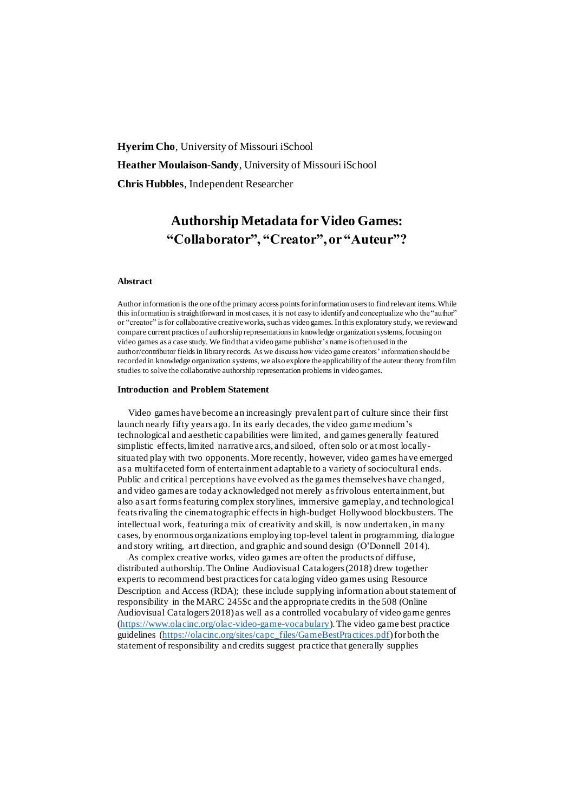**Hyerim Cho**, University of Missouri iSchool **Heather Moulaison-Sandy**, University of Missouri iSchool **Chris Hubbles**, Independent Researcher

# **Authorship Metadata for Video Games: "Collaborator", "Creator", or "Auteur"?**

## **Abstract**

Author information is the one of the primary access points for information users to find relevant items. While this information is straightforward in most cases, it is not easy to identify and conceptualize who the "author" or "creator" is for collaborative creative works, such as video games. In this exploratory study, we review and compare current practices of authorship representations in knowledge organization systems, focusing on video games as a case study. We find that a video game publisher's name is often used in the author/contributor fields in library records. As we discuss how video game creators' information should be recorded in knowledge organization systems, we also explore the applicability of the auteur theory from film studies to solve the collaborative authorship representation problems in video games.

#### **Introduction and Problem Statement**

Video games have become an increasingly prevalent part of culture since their first launch nearly fifty years ago. In its early decades, the video game medium's technological and aesthetic capabilities were limited, and games generally featured simplistic effects, limited narrative arcs, and siloed, often solo or at most locallysituated play with two opponents. More recently, however, video games have emerged as a multifaceted form of entertainment adaptable to a variety of sociocultural ends. Public and critical perceptions have evolved as the games themselves have changed, and video games are today acknowledged not merely as frivolous entertainment, but also as art forms featuring complex storylines, immersive gameplay, and technological feats rivaling the cinematographic effects in high-budget Hollywood blockbusters. The intellectual work, featuring a mix of creativity and skill, is now undertaken, in many cases, by enormous organizations employing top-level talent in programming, dialogue and story writing, art direction, and graphic and sound design (O'Donnell 2014).

As complex creative works, video games are often the products of diffuse, distributed authorship. The Online Audiovisual Catalogers (2018) drew together experts to recommend best practices for cataloging video games using Resource Description and Access (RDA); these include supplying information about statement of responsibility in the MARC 245\$c and the appropriate credits in the 508 (Online Audiovisual Catalogers 2018) as well as a controlled vocabulary of video game genres [\(https://www.olacinc.org/olac-video-game-vocabulary\)](https://www.olacinc.org/olac-video-game-vocabulary).The video game best practice guidelines [\(https://olacinc.org/sites/capc\\_files/GameBestPractices.pdf](https://olacinc.org/sites/capc_files/GameBestPractices.pdf)) for both the statement of responsibility and credits suggest practice that generally supplies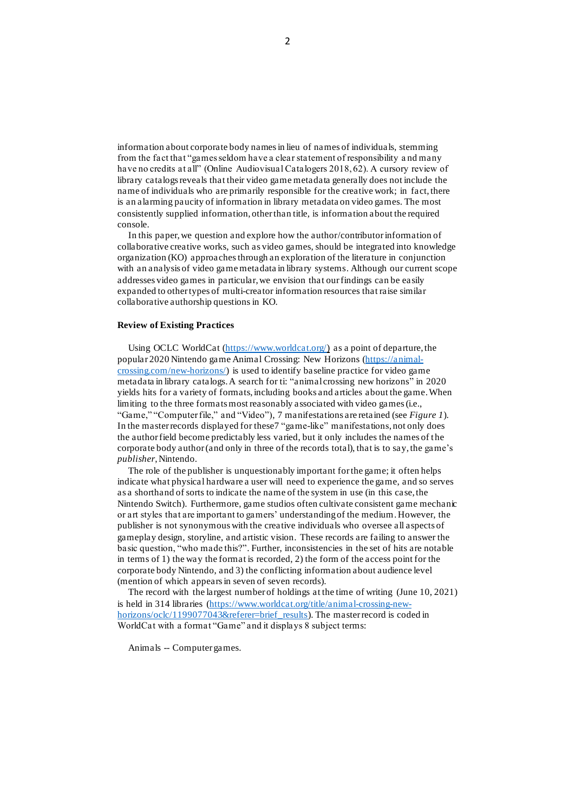information about corporate body names in lieu of names of individuals, stemming from the fact that "games seldom have a clear statement of responsibility a nd many have no credits at all" (Online Audiovisual Catalogers 2018, 62). A cursory review of library catalogs reveals that their video game metadata generally does not include the name of individuals who are primarily responsible for the creative work; in fact, there is an alarming paucity of information in library metadata on video games. The most consistently supplied information, other than title, is information about the required console.

In this paper, we question and explore how the author/contributor information of collaborative creative works, such as video games, should be integrated into knowledge organization (KO) approaches through an exploration of the literature in conjunction with an analysis of video game metadata in library systems. Although our current scope addresses video games in particular, we envision that our findings can be easily expanded to other types of multi-creator information resources that raise similar collaborative authorship questionsin KO.

#### **Review of Existing Practices**

Using OCLC WorldCat [\(https://www.worldcat.org/\)](https://www.worldcat.org/) as a point of departure, the popular 2020 Nintendo game Animal Crossing: New Horizons [\(https://animal](https://animal-crossing.com/new-horizons/)[crossing.com/new-horizons/\)](https://animal-crossing.com/new-horizons/) is used to identify baseline practice for video game metadata in library catalogs. A search for ti: "animal crossing new horizons" in 2020 yields hits for a variety of formats, including books and articles about the game.When limiting to the three formats most reasonably associated with video games (i.e., "Game," "Computer file," and "Video"), 7 manifestations are retained (see *Figure 1*). In the master records displayed for these7 "game-like" manifestations, not only does the author field become predictably less varied, but it only includes the names of the corporate body author (and only in three of the records total), that is to say, the game's *publisher*,Nintendo.

The role of the publisher is unquestionably important forthe game; it often helps indicate what physical hardware a user will need to experience the game, and so serves as a shorthand of sorts to indicate the name of the system in use (in this case, the Nintendo Switch). Furthermore, game studios often cultivate consistent game mechanic or art styles that are important to gamers' understanding of the medium. However, the publisher is not synonymous with the creative individuals who oversee all aspects of gameplay design, storyline, and artistic vision. These records are failing to answer the basic question, "who made this?". Further, inconsistencies in the set of hits are notable in terms of 1) the way the format is recorded, 2) the form of the access point for the corporate body Nintendo, and 3) the conflicting information about audience level (mention of which appears in seven of seven records).

The record with the largest number of holdings at the time of writing (June 10, 2021) is held in 314 libraries [\(https://www.worldcat.org/title/animal-crossing-new](https://www.worldcat.org/title/animal-crossing-new-horizons/oclc/1199077043&referer=brief_results)[horizons/oclc/1199077043&referer=brief\\_results\)](https://www.worldcat.org/title/animal-crossing-new-horizons/oclc/1199077043&referer=brief_results). The master record is coded in WorldCat with a format "Game" and it displays 8 subject terms:

Animals -- Computer games.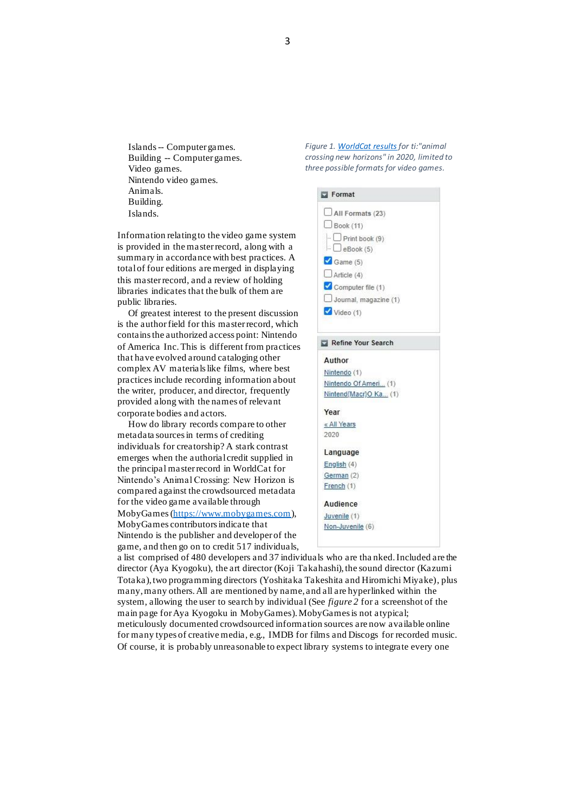Islands -- Computer games. Building -- Computer games. Video games. Nintendo video games. Animals. Building. Islands.

Information relating to the video game system is provided in the master record, along with a summary in accordance with best practices. A total of four editions are merged in displaying this master record, and a review of holding libraries indicates that the bulk of them are public libraries.

Of greatest interest to the present discussion is the author field for this master record, which contains the authorized access point: Nintendo of America Inc. This is different from practices that have evolved around cataloging other complex AV materials like films, where best practices include recording information about the writer, producer, and director, frequently provided along with the names of relevant corporate bodies and actors.

How do library records compare to other metadata sources in terms of crediting individuals for creatorship? A stark contrast emerges when the authorial credit supplied in the principal master record in WorldCat for Nintendo's Animal Crossing: New Horizon is compared against the crowdsourced metadata for the video game available through MobyGames[\(https://www.mobygames.com](https://www.mobygames.com/)), MobyGames contributors indicate that Nintendo is the publisher and developer of the game, and then go on to credit 517 individuals,

*Figure 1[. WorldCat results](https://www.worldcat.org/search?q=ti%3Aanimal+crossing%3A+new+horizons&fq=yr%3A2020+%3E&qt=advanced&dblist=638#x0%253Agame-%2Cx0%253Acompfile-%2Cx0%253Avideo-format) for ti:"animal crossing new horizons" in 2020, limited to three possible formats for video games.*



a list comprised of 480 developers and 37 individuals who are tha nked. Included are the director (Aya Kyogoku), the art director (Koji Takahashi), the sound director (Kazumi Totaka), two programming directors (Yoshitaka Takeshita and Hiromichi Miyake), plus many, many others. All are mentioned by name, and all are hyperlinked within the system, allowing the user to search by individual (See *figure 2* for a screenshot of the main page for Aya Kyogoku in MobyGames).MobyGames is not atypical; meticulously documented crowdsourced information sources are now available online for many types of creative media, e.g., IMDB for films and Discogs for recorded music. Of course, it is probably unreasonable to expect library systems to integrate every one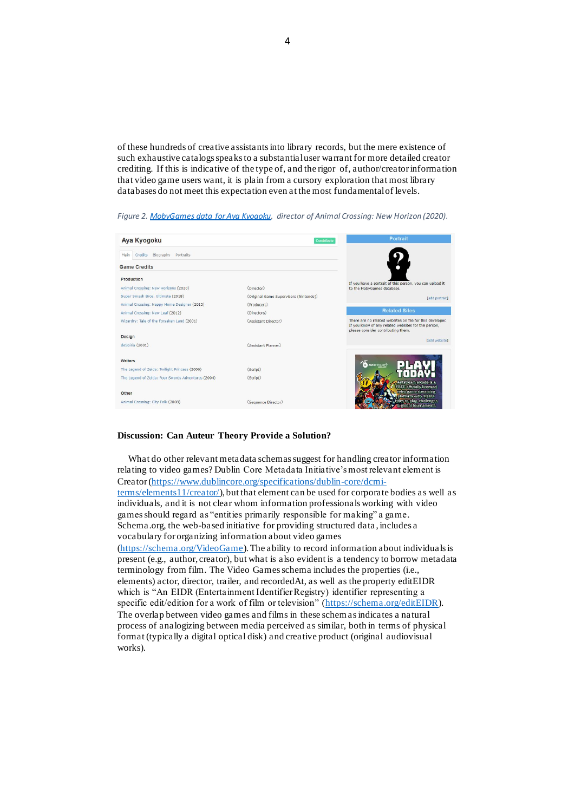of these hundreds of creative assistants into library records, but the mere existence of such exhaustive catalogs speaks to a substantial user warrant for more detailed creator crediting. If this is indicative of the type of, and the rigor of, author/creator information that video game users want, it is plain from a cursory exploration that most library databases do not meet this expectation even at the most fundamental of levels.



*Figure 2[. MobyGames data for Aya Kyogoku,](https://www.mobygames.com/developer/sheet/view/developerId,158652/) director of Animal Crossing: New Horizon (2020).*

#### **Discussion: Can Auteur Theory Provide a Solution?**

What do other relevant metadata schemassuggest for handling creator information relating to video games? Dublin Core Metadata Initiative's most relevant element is Creator [\(https://www.dublincore.org/specifications/dublin-core/dcmi](https://www.dublincore.org/specifications/dublin-core/dcmi-terms/elements11/creator/)[terms/elements11/creator/\)](https://www.dublincore.org/specifications/dublin-core/dcmi-terms/elements11/creator/), but that element can be used for corporate bodies as well as individuals, and it is not clear whom information professionals working with video games should regard as "entities primarily responsible for making" a game. Schema.org, the web-based initiative for providing structured data, includes a vocabulary for organizing information about video games [\(https://schema.org/VideoGame](https://schema.org/VideoGame)).The ability to record information about individuals is present (e.g., author, creator), but what is also evident is a tendency to borrow metadata terminology from film. The Video Games schema includes the properties (i.e., elements) actor, director, trailer, and recordedAt, as well as the property editEIDR which is "An EIDR (Entertainment Identifier Registry) identifier representing a specific edit/edition for a work of film or television" [\(https://schema.org/editEIDR](https://schema.org/editEIDR)). The overlap between video games and films in these schemasindicates a natural process of analogizing between media perceived as similar, both in terms of physical format (typically a digital optical disk) and creative product (original audiovisual works).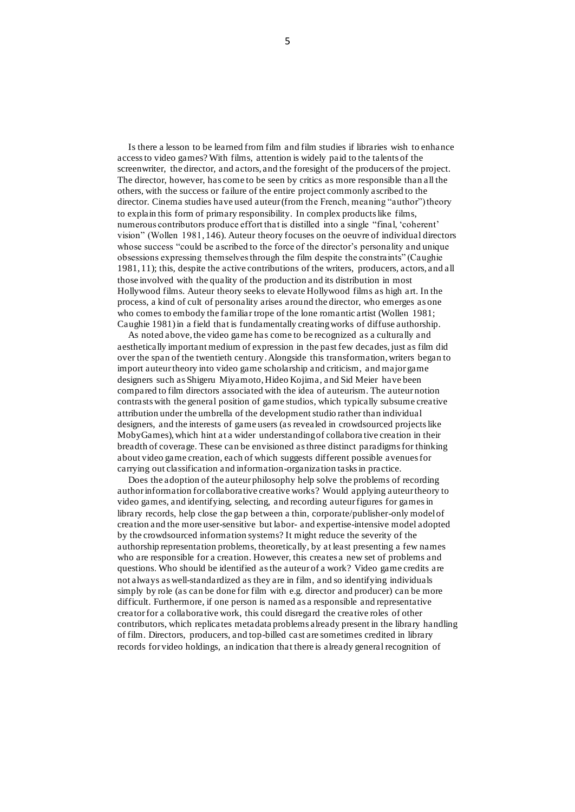Is there a lesson to be learned from film and film studies if libraries wish to enhance access to video games? With films, attention is widely paid to the talents of the screenwriter, the director, and actors, and the foresight of the producers of the project. The director, however, has come to be seen by critics as more responsible than all the others, with the success or failure of the entire project commonly ascribed to the director. Cinema studies have used auteur (from the French, meaning "author") theory to explain this form of primary responsibility. In complex products like films, numerous contributors produce effort that is distilled into a single "final, 'coherent' vision" (Wollen 1981, 146). Auteur theory focuses on the oeuvre of individual directors whose success "could be ascribed to the force of the director's personality and unique obsessions expressing themselves through the film despite the constraints" (Caughie 1981, 11); this, despite the active contributions of the writers, producers, actors, and all those involved with the quality of the production and its distribution in most Hollywood films. Auteur theory seeks to elevate Hollywood films as high art. In the process, a kind of cult of personality arises around the director, who emerges as one who comes to embody the familiar trope of the lone romantic artist (Wollen 1981; Caughie 1981) in a field that is fundamentally creating works of diffuse authorship.

As noted above, the video game has come to be recognized as a culturally and aesthetically important medium of expression in the past few decades, just as film did over the span of the twentieth century. Alongside this transformation, writers began to import auteur theory into video game scholarship and criticism, and major game designers such as Shigeru Miyamoto, Hideo Kojima, and Sid Meier have been compared to film directors associated with the idea of auteurism. The auteur notion contrasts with the general position of game studios, which typically subsume creative attribution under the umbrella of the development studio rather than individual designers, and the interests of game users (as revealed in crowdsourced projects like MobyGames), which hint at a wider understanding of collabora tive creation in their breadth of coverage. These can be envisioned as three distinct paradigms for thinking about video game creation, each of which suggests different possible avenues for carrying out classification and information-organization tasks in practice.

Does the adoption of the auteur philosophy help solve the problems of recording author information for collaborative creative works? Would applying auteur theory to video games, and identifying, selecting, and recording auteur figures for gamesin library records, help close the gap between a thin, corporate/publisher-only model of creation and the more user-sensitive but labor- and expertise-intensive model adopted by the crowdsourced information systems? It might reduce the severity of the authorship representation problems, theoretically, by at least presenting a few names who are responsible for a creation. However, this creates a new set of problems and questions. Who should be identified asthe auteur of a work? Video game credits are not always as well-standardized as they are in film, and so identifying individuals simply by role (as can be done for film with e.g. director and producer) can be more difficult. Furthermore, if one person is named as a responsible and representative creator for a collaborative work, this could disregard the creative roles of other contributors, which replicates metadata problems already present in the library handling of film. Directors, producers, and top-billed cast are sometimes credited in library records for video holdings, an indication that there is already general recognition of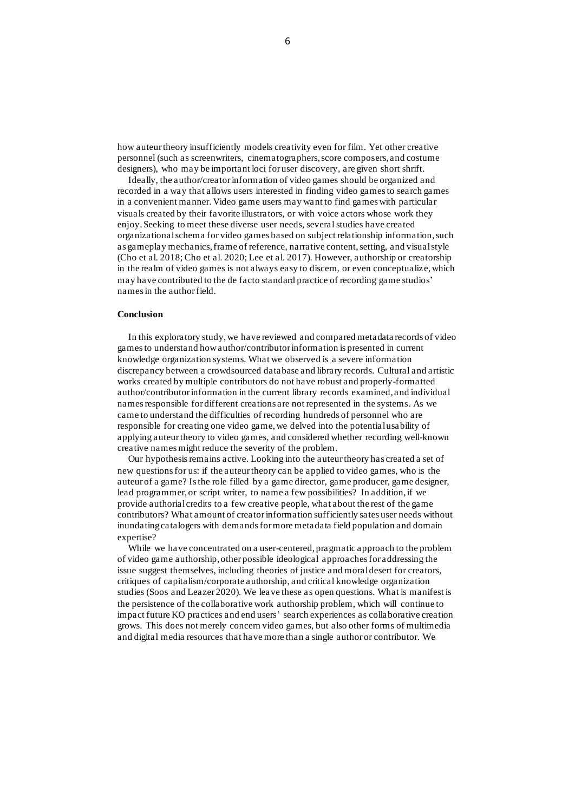how auteur theory insufficiently models creativity even for film. Yet other creative personnel (such as screenwriters, cinematographers, score composers, and costume designers), who may be important loci for user discovery, are given short shrift.

Ideally, the author/creator information of video games should be organized and recorded in a way that allows users interested in finding video games to search games in a convenient manner. Video game users may want to find games with particular visuals created by their favorite illustrators, or with voice actors whose work they enjoy. Seeking to meet these diverse user needs, several studies have created organizational schema for video games based on subject relationship information, such as gameplay mechanics, frame of reference, narrative content, setting, and visual style (Cho et al. 2018; Cho et al. 2020; Lee et al. 2017). However, authorship or creatorship in the realm of video games is not always easy to discern, or even conceptualize, which may have contributed to the de facto standard practice of recording game studios' namesin the author field.

## **Conclusion**

In this exploratory study, we have reviewed and compared metadata records of video games to understand how author/contributor information is presented in current knowledge organization systems. What we observed is a severe information discrepancy between a crowdsourced database and library records. Cultural and artistic works created by multiple contributors do not have robust and properly-formatted author/contributor information in the current library records examined, and individual names responsible for different creations are not represented in the systems. As we came to understand the difficulties of recording hundreds of personnel who are responsible for creating one video game, we delved into the potential usability of applying auteur theory to video games, and considered whether recording well-known creative names might reduce the severity of the problem.

Our hypothesis remains active. Looking into the auteur theory has created a set of new questions for us: if the auteur theory can be applied to video games, who is the auteur of a game? Is the role filled by a game director, game producer, game designer, lead programmer, or script writer, to name a few possibilities? In addition, if we provide authorial credits to a few creative people, what about the rest of the game contributors? What amount of creator information sufficiently sates user needs without inundating catalogers with demands for more metadata field population and domain expertise?

While we have concentrated on a user-centered, pragmatic approach to the problem of video game authorship, other possible ideological approaches for addressing the issue suggest themselves, including theories of justice and moral desert for creators, critiques of capitalism/corporate authorship, and critical knowledge organization studies (Soos and Leazer 2020). We leave these as open questions. What is manifest is the persistence of the collaborative work authorship problem, which will continue to impact future KO practices and end users' search experiences as collaborative creation grows. This does not merely concern video games, but also other forms of multimedia and digital media resources that have more than a single author or contributor. We